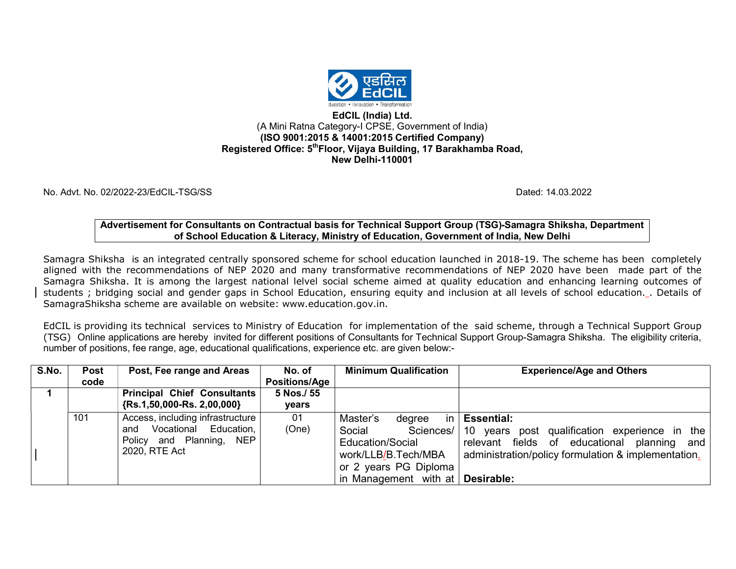

#### EdCIL (India) Ltd. (A Mini Ratna Category-I CPSE, Government of India) (ISO 9001:2015 & 14001:2015 Certified Company) Registered Office: 5<sup>th</sup>Floor, Vijaya Building, 17 Barakhamba Road, New Delhi-110001

No. Advt. No. 02/2022-23/EdCIL-TSG/SS Dated: 14.03.2022

Advertisement for Consultants on Contractual basis for Technical Support Group (TSG)-Samagra Shiksha, Department of School Education & Literacy, Ministry of Education, Government of India, New Delhi

Samagra Shiksha is an integrated centrally sponsored scheme for school education launched in 2018-19. The scheme has been completely aligned with the recommendations of NEP 2020 and many transformative recommendations of NEP 2020 have been made part of the Samagra Shiksha. It is among the largest national lelvel social scheme aimed at quality education and enhancing learning outcomes of students ; bridging social and gender gaps in School Education, ensuring equity and inclusion at all levels of school education. . Details of SamagraShiksha scheme are available on website: www.education.gov.in.

EdCIL is providing its technical services to Ministry of Education for implementation of the said scheme, through a Technical Support Group (TSG) Online applications are hereby invited for different positions of Consultants for Technical Support Group-Samagra Shiksha. The eligibility criteria, number of positions, fee range, age, educational qualifications, experience etc. are given below:-

| S.No. | <b>Post</b><br>code | Post, Fee range and Areas                                                                                        | No. of<br><b>Positions/Age</b> | <b>Minimum Qualification</b>                                                                                                                       | <b>Experience/Age and Others</b>                                                                                                                                                        |
|-------|---------------------|------------------------------------------------------------------------------------------------------------------|--------------------------------|----------------------------------------------------------------------------------------------------------------------------------------------------|-----------------------------------------------------------------------------------------------------------------------------------------------------------------------------------------|
|       |                     | <b>Principal Chief Consultants</b><br>$\{Rs. 1, 50, 000-Rs. 2, 00, 000\}$                                        | 5 Nos./ 55<br>years            |                                                                                                                                                    |                                                                                                                                                                                         |
|       | 101                 | Access, including infrastructure<br>Vocational Education,<br>and<br>Policy<br>and Planning, NEP<br>2020, RTE Act | 01<br>(One)                    | Master's<br>degree<br>Social<br><b>Education/Social</b><br>work/LLB/B.Tech/MBA<br>or 2 years PG Diploma<br>in Management with at <b>Desirable:</b> | in $ $ Essential:<br>Sciences/   10 years post qualification experience in the<br>relevant fields of educational planning<br>and<br>administration/policy formulation & implementation. |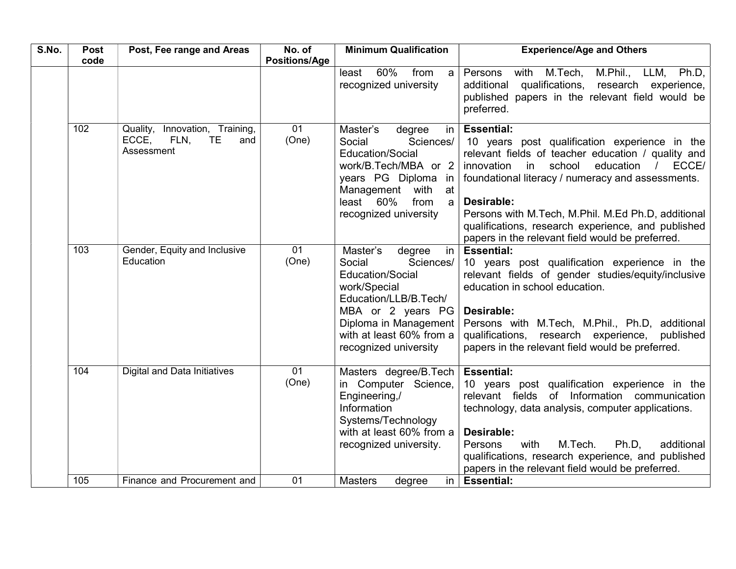| S.No. | <b>Post</b> | Post, Fee range and Areas                                                            | No. of               | <b>Minimum Qualification</b>                                                                                                                                                                                    | <b>Experience/Age and Others</b>                                                                                                                                                                                                                                                                                                                                                                                           |
|-------|-------------|--------------------------------------------------------------------------------------|----------------------|-----------------------------------------------------------------------------------------------------------------------------------------------------------------------------------------------------------------|----------------------------------------------------------------------------------------------------------------------------------------------------------------------------------------------------------------------------------------------------------------------------------------------------------------------------------------------------------------------------------------------------------------------------|
|       | code        |                                                                                      | <b>Positions/Age</b> | 60%<br>from<br>least<br>a<br>recognized university                                                                                                                                                              | Persons<br>M.Tech,<br>M.Phil.,<br>LLM, Ph.D,<br>with<br>qualifications, research experience,<br>additional<br>published papers in the relevant field would be<br>preferred.                                                                                                                                                                                                                                                |
|       | 102         | Innovation, Training,<br>Quality,<br>ECCE,<br>FLN,<br><b>TE</b><br>and<br>Assessment | 01<br>(One)          | Master's<br>degree<br>in I<br>Social<br>Sciences/<br>Education/Social<br>work/B.Tech/MBA or 2<br>years PG Diploma in<br>Management with<br>at<br>60%<br>from<br>least<br>$\mathsf{a}$<br>recognized university  | <b>Essential:</b><br>10 years post qualification experience in the<br>relevant fields of teacher education / quality and<br>innovation<br>$\mathsf{in}$<br>school<br>education<br>ECCE/<br>foundational literacy / numeracy and assessments.<br>Desirable:<br>Persons with M.Tech, M.Phil. M.Ed Ph.D, additional<br>qualifications, research experience, and published<br>papers in the relevant field would be preferred. |
|       | 103         | Gender, Equity and Inclusive<br>Education                                            | 01<br>(One)          | Master's<br>degree<br>in<br>Social<br>Sciences/<br>Education/Social<br>work/Special<br>Education/LLB/B.Tech/<br>MBA or 2 years PG<br>Diploma in Management<br>with at least 60% from a<br>recognized university | <b>Essential:</b><br>10 years post qualification experience in the<br>relevant fields of gender studies/equity/inclusive<br>education in school education.<br>Desirable:<br>Persons with M.Tech, M.Phil., Ph.D, additional<br>qualifications, research experience,<br>published<br>papers in the relevant field would be preferred.                                                                                        |
|       | 104         | Digital and Data Initiatives                                                         | 01<br>(One)          | Masters degree/B.Tech<br>in Computer Science,<br>Engineering,/<br>Information<br>Systems/Technology<br>with at least 60% from a<br>recognized university.                                                       | <b>Essential:</b><br>10 years post qualification experience in the<br>relevant fields of Information communication<br>technology, data analysis, computer applications.<br>Desirable:<br>M.Tech.<br>Persons<br>with<br>Ph.D.<br>additional<br>qualifications, research experience, and published<br>papers in the relevant field would be preferred.                                                                       |
|       | 105         | Finance and Procurement and                                                          | 01                   | <b>Masters</b><br>in<br>degree                                                                                                                                                                                  | <b>Essential:</b>                                                                                                                                                                                                                                                                                                                                                                                                          |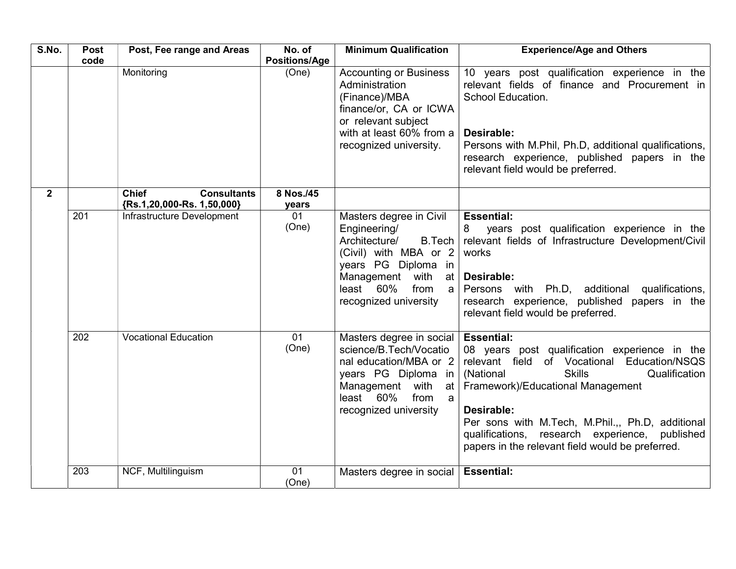| S.No.          | <b>Post</b> | Post, Fee range and Areas                                        | No. of                        | <b>Minimum Qualification</b>                                                                                                                                                                       | <b>Experience/Age and Others</b>                                                                                                                                                                                                                                                                                                                                              |
|----------------|-------------|------------------------------------------------------------------|-------------------------------|----------------------------------------------------------------------------------------------------------------------------------------------------------------------------------------------------|-------------------------------------------------------------------------------------------------------------------------------------------------------------------------------------------------------------------------------------------------------------------------------------------------------------------------------------------------------------------------------|
|                | code        | Monitoring                                                       | <b>Positions/Age</b><br>(One) | <b>Accounting or Business</b><br>Administration<br>(Finance)/MBA<br>finance/or, CA or ICWA<br>or relevant subject<br>with at least 60% from a<br>recognized university.                            | 10 years post qualification experience in the<br>relevant fields of finance and Procurement in<br>School Education.<br>Desirable:<br>Persons with M.Phil, Ph.D, additional qualifications,<br>research experience, published papers in the<br>relevant field would be preferred.                                                                                              |
| 2 <sup>1</sup> |             | <b>Chief</b><br><b>Consultants</b><br>{Rs.1,20,000-Rs. 1,50,000} | 8 Nos./45<br>years            |                                                                                                                                                                                                    |                                                                                                                                                                                                                                                                                                                                                                               |
|                | 201         | Infrastructure Development                                       | 01<br>(One)                   | Masters degree in Civil<br>Engineering/<br>Architecture/<br>B.Tech<br>(Civil) with MBA or 2<br>years PG Diploma in<br>Management with<br>at l<br>least 60%<br>from<br> a <br>recognized university | <b>Essential:</b><br>years post qualification experience in the<br>8<br>relevant fields of Infrastructure Development/Civil<br>works<br>Desirable:<br>Persons with Ph.D, additional qualifications,<br>research experience, published papers in the<br>relevant field would be preferred.                                                                                     |
|                | 202         | <b>Vocational Education</b>                                      | 01<br>(One)                   | Masters degree in social<br>science/B.Tech/Vocatio<br>nal education/MBA or 2<br>years PG Diploma in<br>Management with<br>at  <br>least 60%<br>from<br>a<br>recognized university                  | <b>Essential:</b><br>08 years post qualification experience in the<br>relevant field of Vocational Education/NSQS<br><b>Skills</b><br>Qualification<br>(National<br>Framework)/Educational Management<br>Desirable:<br>Per sons with M.Tech, M.Phil.,, Ph.D, additional<br>qualifications, research experience, published<br>papers in the relevant field would be preferred. |
|                | 203         | NCF, Multilinguism                                               | 01<br>(One)                   | Masters degree in social                                                                                                                                                                           | <b>Essential:</b>                                                                                                                                                                                                                                                                                                                                                             |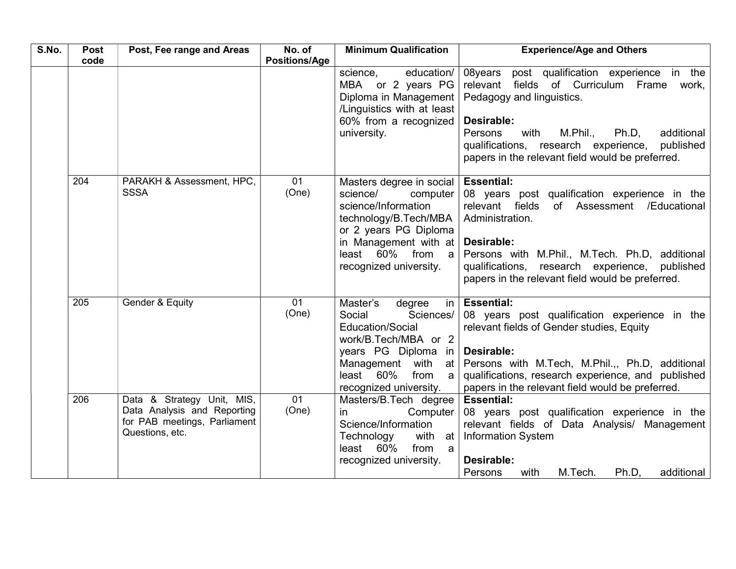| S.No. | Post<br>code | Post, Fee range and Areas                                                                                    | No. of<br><b>Positions/Age</b> | <b>Minimum Qualification</b>                                                                                                                                                                                              | <b>Experience/Age and Others</b>                                                                                                                                                                                                                                                                          |
|-------|--------------|--------------------------------------------------------------------------------------------------------------|--------------------------------|---------------------------------------------------------------------------------------------------------------------------------------------------------------------------------------------------------------------------|-----------------------------------------------------------------------------------------------------------------------------------------------------------------------------------------------------------------------------------------------------------------------------------------------------------|
|       |              |                                                                                                              |                                | education/<br>science,<br>MBA or 2 years PG<br>Diploma in Management<br>/Linguistics with at least<br>60% from a recognized<br>university.                                                                                | 08years<br>post qualification experience in the<br>relevant<br>fields of Curriculum Frame work,<br>Pedagogy and linguistics.<br>Desirable:<br>M.Phil.,<br>Persons<br>with<br>Ph.D,<br>additional<br>qualifications, research experience,<br>published<br>papers in the relevant field would be preferred. |
|       | 204          | PARAKH & Assessment, HPC,<br><b>SSSA</b>                                                                     | 01<br>(One)                    | Masters degree in social   Essential:<br>science/<br>computer  <br>science/Information<br>technology/B.Tech/MBA<br>or 2 years PG Diploma<br>in Management with at<br>$least$ 60%<br>from<br> a <br>recognized university. | 08 years post qualification experience in the<br>/Educational<br>relevant fields<br>of Assessment<br>Administration.<br>Desirable:<br>Persons with M.Phil., M.Tech. Ph.D, additional<br>qualifications, research experience,<br>published<br>papers in the relevant field would be preferred.             |
|       | 205          | Gender & Equity                                                                                              | 01<br>(One)                    | Master's<br>degree<br>Sciences/<br>Social<br>Education/Social<br>work/B.Tech/MBA or 2<br>years $PG$ Diploma in<br>with at $\vert$<br>Management<br>least 60%<br>from<br>$a \mid$<br>recognized university.                | in $ $ Essential:<br>08 years post qualification experience in the<br>relevant fields of Gender studies, Equity<br>Desirable:<br>Persons with M.Tech, M.Phil.,, Ph.D, additional<br>qualifications, research experience, and published<br>papers in the relevant field would be preferred.                |
|       | 206          | Data & Strategy Unit, MIS,<br>Data Analysis and Reporting<br>for PAB meetings, Parliament<br>Questions, etc. | 01<br>(One)                    | Masters/B.Tech degree  <br>Computer<br>in.<br>Science/Information<br>Technology<br>with at  <br>$least$ 60%<br>from<br>a<br>recognized university.                                                                        | <b>Essential:</b><br>08 years post qualification experience in the<br>relevant fields of Data Analysis/ Management<br><b>Information System</b><br>Desirable:<br>M.Tech.<br>Persons<br>Ph.D,<br>additional<br>with                                                                                        |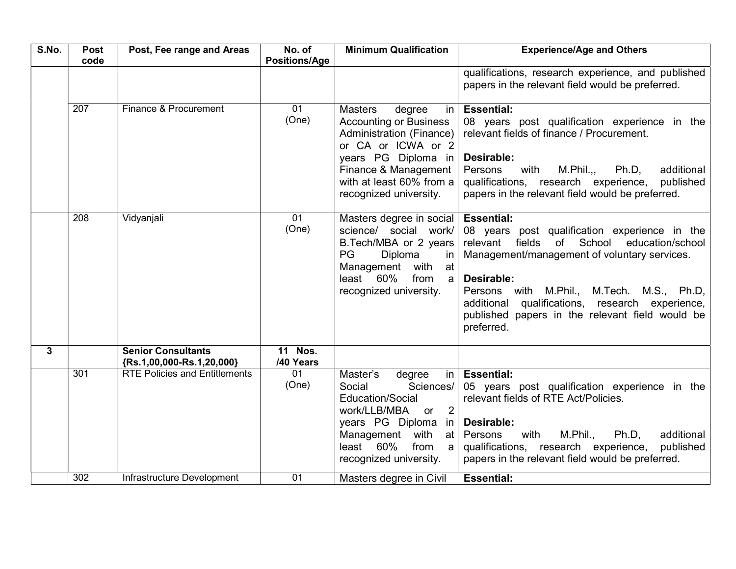| S.No. | <b>Post</b> | Post, Fee range and Areas                                    | No. of                      | <b>Minimum Qualification</b>                                                                                                                                                                                                      | <b>Experience/Age and Others</b>                                                                                                                                                                                                                                                                                                                            |
|-------|-------------|--------------------------------------------------------------|-----------------------------|-----------------------------------------------------------------------------------------------------------------------------------------------------------------------------------------------------------------------------------|-------------------------------------------------------------------------------------------------------------------------------------------------------------------------------------------------------------------------------------------------------------------------------------------------------------------------------------------------------------|
|       | code        |                                                              | <b>Positions/Age</b>        |                                                                                                                                                                                                                                   | qualifications, research experience, and published<br>papers in the relevant field would be preferred.                                                                                                                                                                                                                                                      |
|       | 207         | Finance & Procurement                                        | 01<br>(One)                 | <b>Masters</b><br>degree<br>$\mathsf{in}$<br><b>Accounting or Business</b><br>Administration (Finance)<br>or CA or ICWA or 2<br>years PG Diploma in<br>Finance & Management<br>with at least 60% from a<br>recognized university. | <b>Essential:</b><br>08 years post qualification experience in the<br>relevant fields of finance / Procurement.<br>Desirable:<br>Persons<br>with<br>M.Phil.,<br>Ph.D.<br>additional<br>qualifications, research experience,<br>published<br>papers in the relevant field would be preferred.                                                                |
|       | 208         | Vidyanjali                                                   | 01<br>(One)                 | Masters degree in social<br>science/ social work/<br>B.Tech/MBA or 2 years<br>PG<br>Diploma<br>in<br>with<br>Management<br>at<br>least 60%<br>from<br>a<br>recognized university.                                                 | <b>Essential:</b><br>08 years post qualification experience in the<br>of School<br>relevant<br>fields<br>education/school<br>Management/management of voluntary services.<br>Desirable:<br>Persons with M.Phil., M.Tech. M.S., Ph.D,<br>qualifications, research experience,<br>additional<br>published papers in the relevant field would be<br>preferred. |
| 3     |             | <b>Senior Consultants</b><br>$\{Rs. 1,00,000-Rs. 1,20,000\}$ | <b>11 Nos.</b><br>/40 Years |                                                                                                                                                                                                                                   |                                                                                                                                                                                                                                                                                                                                                             |
|       | 301         | <b>RTE Policies and Entitlements</b>                         | 01<br>(One)                 | Master's<br>degree<br> n <br>Social<br>Sciences/<br>Education/Social<br>2<br>work/LLB/MBA or<br>years PG Diploma in<br>Management<br>with<br>at<br>least 60%<br>from<br>a<br>recognized university.                               | <b>Essential:</b><br>05 years post qualification experience in the<br>relevant fields of RTE Act/Policies.<br>Desirable:<br>additional<br>Persons<br>M.Phil.,<br>Ph.D,<br>with<br>qualifications, research experience,<br>published<br>papers in the relevant field would be preferred.                                                                     |
|       | 302         | Infrastructure Development                                   | 01                          | Masters degree in Civil                                                                                                                                                                                                           | <b>Essential:</b>                                                                                                                                                                                                                                                                                                                                           |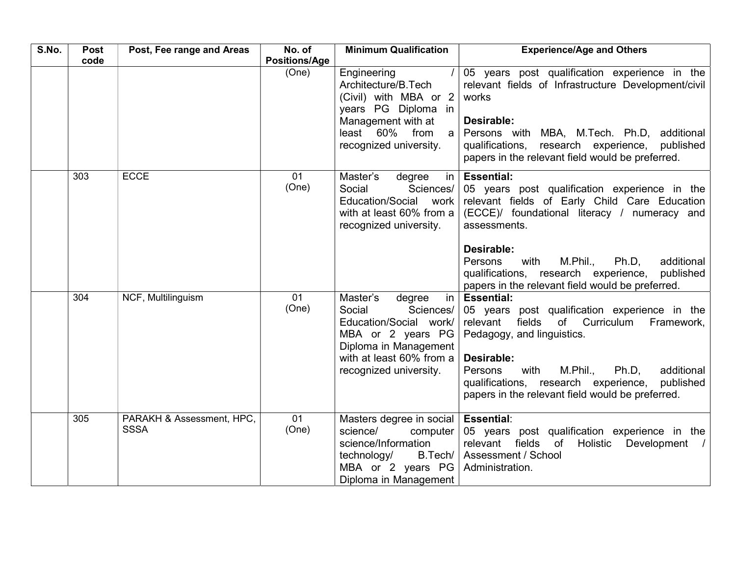| S.No. | <b>Post</b><br>code | Post, Fee range and Areas                | No. of<br><b>Positions/Age</b> | <b>Minimum Qualification</b>                                                                                                                                                             | <b>Experience/Age and Others</b>                                                                                                                                                                                                                                                                                                                                                                                                            |
|-------|---------------------|------------------------------------------|--------------------------------|------------------------------------------------------------------------------------------------------------------------------------------------------------------------------------------|---------------------------------------------------------------------------------------------------------------------------------------------------------------------------------------------------------------------------------------------------------------------------------------------------------------------------------------------------------------------------------------------------------------------------------------------|
|       |                     |                                          | (One)                          | Engineering<br>Architecture/B.Tech<br>(Civil) with MBA or 2<br>years PG Diploma in<br>Management with at<br>least 60% from<br> a <br>recognized university.                              | 05 years post qualification experience in the<br>relevant fields of Infrastructure Development/civil<br>works<br>Desirable:<br>Persons with MBA, M.Tech. Ph.D, additional<br>research experience,<br>qualifications,<br>published<br>papers in the relevant field would be preferred.                                                                                                                                                       |
|       | 303                 | <b>ECCE</b>                              | 01<br>(One)                    | Master's<br>in I<br>degree<br>Social<br>Sciences/<br>Education/Social work<br>with at least 60% from a<br>recognized university.                                                         | <b>Essential:</b><br>05 years post qualification experience in the<br>relevant fields of Early Child Care Education<br>(ECCE)/ foundational literacy / numeracy and<br>assessments.<br>Desirable:<br>M.Phil.,<br>Ph.D,<br>additional<br>Persons<br>with                                                                                                                                                                                     |
|       | 304                 | NCF, Multilinguism                       | 01<br>(One)                    | Master's<br>degree<br>$\mathsf{in}$<br>Social<br>Sciences/<br>Education/Social work/<br>MBA or 2 years PG<br>Diploma in Management<br>with at least 60% from a<br>recognized university. | qualifications, research experience,<br>published<br>papers in the relevant field would be preferred.<br><b>Essential:</b><br>05 years post qualification experience in the<br>relevant<br>fields<br>of Curriculum<br>Framework,<br>Pedagogy, and linguistics.<br>Desirable:<br>M.Phil.,<br>Persons<br>with<br>Ph.D,<br>additional<br>qualifications, research experience,<br>published<br>papers in the relevant field would be preferred. |
|       | 305                 | PARAKH & Assessment, HPC,<br><b>SSSA</b> | 01<br>(One)                    | Masters degree in social   Essential:<br>science/<br>computer<br>science/Information<br>technology/<br>MBA or 2 years PG<br>Diploma in Management                                        | 05 years post qualification experience in the<br>relevant fields<br>of<br>Holistic<br>Development /<br>B.Tech/   Assessment / School<br>Administration.                                                                                                                                                                                                                                                                                     |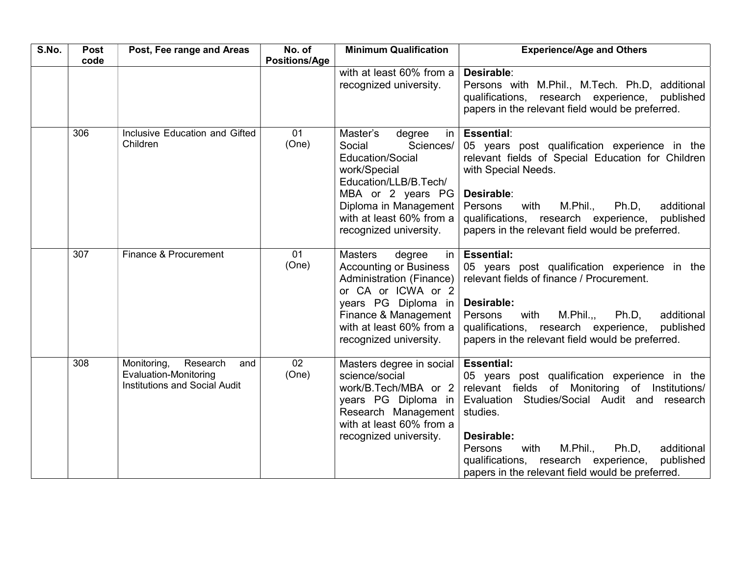| S.No. | Post<br>code | Post, Fee range and Areas                                                                       | No. of<br><b>Positions/Age</b> | <b>Minimum Qualification</b>                                                                                                                                                                                                      | <b>Experience/Age and Others</b>                                                                                                                                                                                                                                                                                                                              |
|-------|--------------|-------------------------------------------------------------------------------------------------|--------------------------------|-----------------------------------------------------------------------------------------------------------------------------------------------------------------------------------------------------------------------------------|---------------------------------------------------------------------------------------------------------------------------------------------------------------------------------------------------------------------------------------------------------------------------------------------------------------------------------------------------------------|
|       |              |                                                                                                 |                                | with at least 60% from a<br>recognized university.                                                                                                                                                                                | Desirable:<br>Persons with M.Phil., M.Tech. Ph.D, additional<br>qualifications, research experience,<br>published<br>papers in the relevant field would be preferred.                                                                                                                                                                                         |
|       | 306          | Inclusive Education and Gifted<br>Children                                                      | 01<br>(One)                    | Master's<br>degree<br>Social<br>Sciences/<br><b>Education/Social</b><br>work/Special<br>Education/LLB/B.Tech/<br>MBA or 2 years PG<br>Diploma in Management<br>with at least 60% from a<br>recognized university.                 | in $\left $ Essential:<br>05 years post qualification experience in the<br>relevant fields of Special Education for Children<br>with Special Needs.<br>Desirable:<br>additional<br>Persons<br>with<br>M.Phil.,<br>$Ph.D$ ,<br>qualifications, research experience,<br>published<br>papers in the relevant field would be preferred.                           |
|       | 307          | Finance & Procurement                                                                           | 01<br>(One)                    | <b>Masters</b><br>degree<br>$\mathsf{in}$<br><b>Accounting or Business</b><br>Administration (Finance)<br>or CA or ICWA or 2<br>years PG Diploma in<br>Finance & Management<br>with at least 60% from a<br>recognized university. | <b>Essential:</b><br>05 years post qualification experience in the<br>relevant fields of finance / Procurement.<br>Desirable:<br>M.Phil.,<br>additional<br>Persons<br>with<br>Ph.D,<br>qualifications, research experience,<br>published<br>papers in the relevant field would be preferred.                                                                  |
|       | 308          | Research<br>Monitoring,<br>and<br><b>Evaluation-Monitoring</b><br>Institutions and Social Audit | $\overline{02}$<br>(One)       | Masters degree in social<br>science/social<br>work/B.Tech/MBA or 2<br>years PG Diploma in<br>Research Management<br>with at least 60% from a<br>recognized university.                                                            | <b>Essential:</b><br>05 years post qualification experience in the<br>relevant fields of Monitoring of Institutions/<br>Evaluation Studies/Social Audit and research<br>studies.<br>Desirable:<br>M.Phil.,<br>Ph.D,<br>additional<br>Persons<br>with<br>qualifications, research experience,<br>published<br>papers in the relevant field would be preferred. |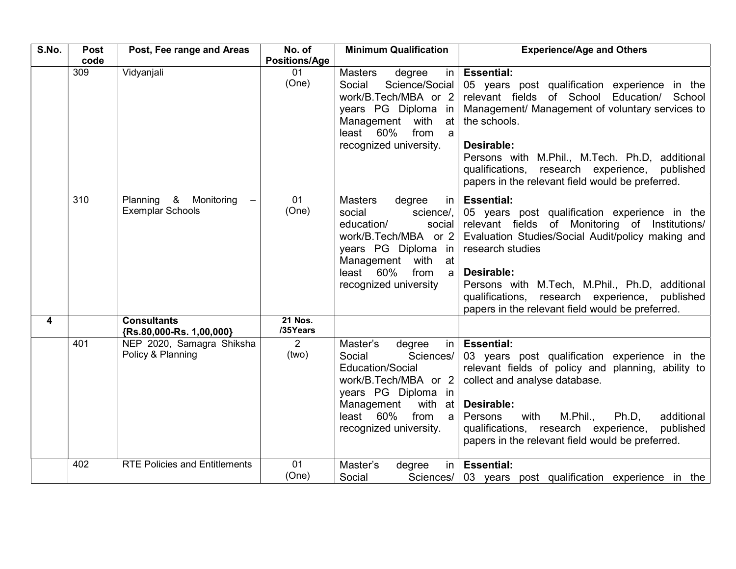| S.No. | Post | Post, Fee range and Areas                                                       | No. of                     | <b>Minimum Qualification</b>                                                                                                                                                                                 | <b>Experience/Age and Others</b>                                                                                                                                                                                                                                                                                                                                       |
|-------|------|---------------------------------------------------------------------------------|----------------------------|--------------------------------------------------------------------------------------------------------------------------------------------------------------------------------------------------------------|------------------------------------------------------------------------------------------------------------------------------------------------------------------------------------------------------------------------------------------------------------------------------------------------------------------------------------------------------------------------|
|       | code |                                                                                 | <b>Positions/Age</b>       |                                                                                                                                                                                                              |                                                                                                                                                                                                                                                                                                                                                                        |
|       | 309  | Vidyanjali                                                                      | 01<br>(One)                | <b>Masters</b><br>degree<br>Social<br>Science/Social<br>work/B.Tech/MBA or 2<br>years PG Diploma in<br>Management with<br>at<br>least 60%<br>from<br>a<br>recognized university.                             | in $ $ Essential:<br>05 years post qualification experience in the<br>relevant fields of School Education/ School<br>Management/ Management of voluntary services to<br>the schools.<br>Desirable:<br>Persons with M.Phil., M.Tech. Ph.D, additional<br>qualifications, research experience, published<br>papers in the relevant field would be preferred.             |
|       | 310  | Planning &<br>Monitoring<br>$\overline{\phantom{m}}$<br><b>Exemplar Schools</b> | 01<br>(One)                | <b>Masters</b><br>degree<br>in I<br>social<br>science/,<br>education/<br>social<br>work/B.Tech/MBA or 2<br>years PG Diploma in<br>Management<br>with at<br>least 60%<br>from<br> a <br>recognized university | <b>Essential:</b><br>05 years post qualification experience in the<br>relevant fields of Monitoring of Institutions/<br>Evaluation Studies/Social Audit/policy making and<br>research studies<br>Desirable:<br>Persons with M.Tech, M.Phil., Ph.D, additional<br>qualifications, research experience,<br>published<br>papers in the relevant field would be preferred. |
| 4     |      | <b>Consultants</b><br>{Rs.80,000-Rs. 1,00,000}                                  | <b>21 Nos.</b><br>/35Years |                                                                                                                                                                                                              |                                                                                                                                                                                                                                                                                                                                                                        |
|       | 401  | NEP 2020, Samagra Shiksha<br>Policy & Planning                                  | $\overline{2}$<br>(two)    | Master's<br>degree<br>Social<br>Sciences/<br><b>Education/Social</b><br>work/B.Tech/MBA or 2<br>years PG Diploma in<br>Management<br>with at $ $<br>least 60%<br>from a<br>recognized university.            | in   Essential:<br>03 years post qualification experience in the<br>relevant fields of policy and planning, ability to<br>collect and analyse database.<br>Desirable:<br>M.Phil.,<br>Persons<br>with<br>Ph.D.<br>additional<br>qualifications, research experience,<br>published<br>papers in the relevant field would be preferred.                                   |
|       | 402  | <b>RTE Policies and Entitlements</b>                                            | 01<br>(One)                | Master's<br>degree<br>$\ln$<br>Social                                                                                                                                                                        | <b>Essential:</b><br>Sciences/ 03 years post qualification experience in the                                                                                                                                                                                                                                                                                           |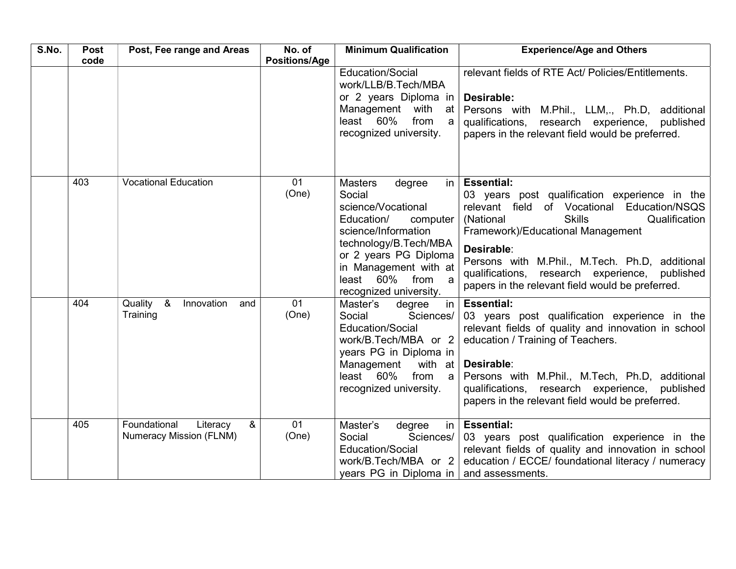| S.No. | Post<br>code | Post, Fee range and Areas                                                 | No. of<br><b>Positions/Age</b> | <b>Minimum Qualification</b>                                                                                                                                                                                                                                                                                                                                                                                             | <b>Experience/Age and Others</b>                                                                                                                                                                                                                                                                                                                                                                                                                                                                                                                            |
|-------|--------------|---------------------------------------------------------------------------|--------------------------------|--------------------------------------------------------------------------------------------------------------------------------------------------------------------------------------------------------------------------------------------------------------------------------------------------------------------------------------------------------------------------------------------------------------------------|-------------------------------------------------------------------------------------------------------------------------------------------------------------------------------------------------------------------------------------------------------------------------------------------------------------------------------------------------------------------------------------------------------------------------------------------------------------------------------------------------------------------------------------------------------------|
|       |              |                                                                           |                                | Education/Social<br>work/LLB/B.Tech/MBA<br>or 2 years Diploma in<br>Management with<br>at l<br>least 60%<br>from<br>a l<br>recognized university.                                                                                                                                                                                                                                                                        | relevant fields of RTE Act/ Policies/Entitlements.<br>Desirable:<br>Persons with M.Phil., LLM,., Ph.D, additional<br>qualifications, research experience, published<br>papers in the relevant field would be preferred.                                                                                                                                                                                                                                                                                                                                     |
|       | 403<br>404   | <b>Vocational Education</b><br>Quality &<br>Innovation<br>and<br>Training | 01<br>(One)<br>01<br>(One)     | <b>Masters</b><br>degree<br> n <br>Social<br>science/Vocational<br>Education/<br>computer<br>science/Information<br>technology/B.Tech/MBA<br>or 2 years PG Diploma<br>in Management with at<br>least 60% from a<br>recognized university.<br>Master's<br>in I<br>degree<br>Sciences/<br>Social<br>Education/Social<br>work/B.Tech/MBA or 2<br>years PG in Diploma in<br>with at $ $<br>Management<br>least 60%<br>from a | <b>Essential:</b><br>03 years post qualification experience in the<br>relevant field of Vocational Education/NSQS<br>(National<br><b>Skills</b><br>Qualification<br>Framework)/Educational Management<br>Desirable:<br>Persons with M.Phil., M.Tech. Ph.D, additional<br>qualifications, research experience, published<br>papers in the relevant field would be preferred.<br><b>Essential:</b><br>03 years post qualification experience in the<br>relevant fields of quality and innovation in school<br>education / Training of Teachers.<br>Desirable: |
|       |              |                                                                           |                                | recognized university.                                                                                                                                                                                                                                                                                                                                                                                                   | Persons with M.Phil., M.Tech, Ph.D, additional<br>qualifications, research experience,<br>published<br>papers in the relevant field would be preferred.                                                                                                                                                                                                                                                                                                                                                                                                     |
|       | 405          | Foundational<br>&<br>Literacy<br>Numeracy Mission (FLNM)                  | 01<br>(One)                    | Master's<br>degree<br>in I<br>Sciences/<br>Social<br>Education/Social<br>work/B.Tech/MBA or 2<br>years PG in Diploma in   and assessments.                                                                                                                                                                                                                                                                               | <b>Essential:</b><br>03 years post qualification experience in the<br>relevant fields of quality and innovation in school<br>education / ECCE/ foundational literacy / numeracy                                                                                                                                                                                                                                                                                                                                                                             |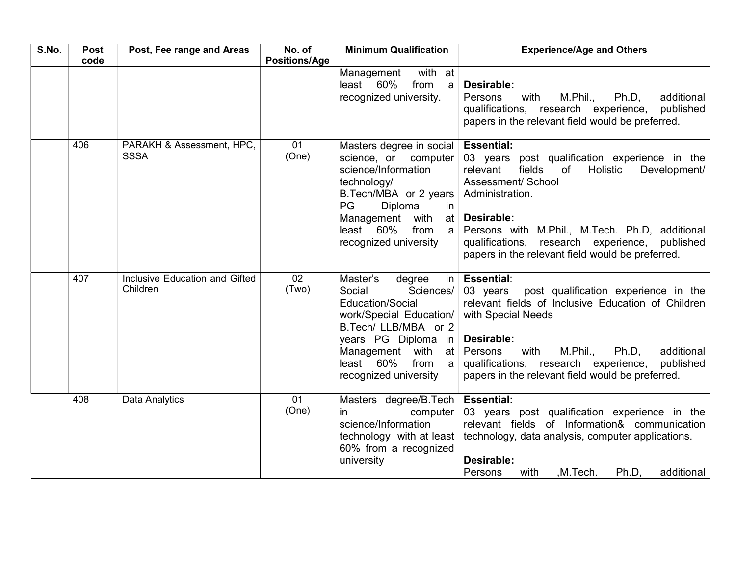| S.No. | <b>Post</b><br>code | Post, Fee range and Areas                  | No. of<br><b>Positions/Age</b> | <b>Minimum Qualification</b>                                                                                                                                                                                                              | <b>Experience/Age and Others</b>                                                                                                                                                                                                                                                                                             |
|-------|---------------------|--------------------------------------------|--------------------------------|-------------------------------------------------------------------------------------------------------------------------------------------------------------------------------------------------------------------------------------------|------------------------------------------------------------------------------------------------------------------------------------------------------------------------------------------------------------------------------------------------------------------------------------------------------------------------------|
|       |                     |                                            |                                | with at<br>Management<br>60%<br>from<br>least<br>a l<br>recognized university.                                                                                                                                                            | Desirable:<br>M.Phil.,<br>Persons<br>with<br>Ph.D,<br>additional<br>qualifications, research experience,<br>published<br>papers in the relevant field would be preferred.                                                                                                                                                    |
|       | 406                 | PARAKH & Assessment, HPC,<br><b>SSSA</b>   | 01<br>(One)                    | Masters degree in social   Essential:<br>science, or computer<br>science/Information<br>technology/<br>B.Tech/MBA or 2 years<br>PG<br>Diploma<br>in<br>with<br>Management<br>at l<br>60%<br>from<br>least<br>a l<br>recognized university | 03 years post qualification experience in the<br>fields<br>Holistic<br>relevant<br>$\circ$ of<br>Development/<br>Assessment/ School<br>Administration.<br>Desirable:<br>Persons with M.Phil., M.Tech. Ph.D, additional<br>qualifications, research experience, published<br>papers in the relevant field would be preferred. |
|       | 407                 | Inclusive Education and Gifted<br>Children | 02<br>(Two)                    | Master's<br>degree<br>Sciences/<br>Social<br><b>Education/Social</b><br>work/Special Education/<br>B.Tech/ LLB/MBA or 2<br>years PG Diploma in<br>Management<br>with at<br>least 60%<br>from<br>$a \mid$<br>recognized university         | in   Essential:<br>post qualification experience in the<br>03 years<br>relevant fields of Inclusive Education of Children<br>with Special Needs<br>Desirable:<br>M.Phil.,<br>Persons<br>with<br>Ph.D.<br>additional<br>qualifications, research experience,<br>published<br>papers in the relevant field would be preferred. |
|       | 408                 | Data Analytics                             | 01<br>(One)                    | Masters degree/B. Tech   Essential:<br>computer<br>in<br>science/Information<br>60% from a recognized<br>university                                                                                                                       | 03 years post qualification experience in the<br>relevant fields of Information& communication<br>technology with at least   technology, data analysis, computer applications.<br>Desirable:<br>Persons<br>,M.Tech.<br>Ph.D.<br>additional<br>with                                                                           |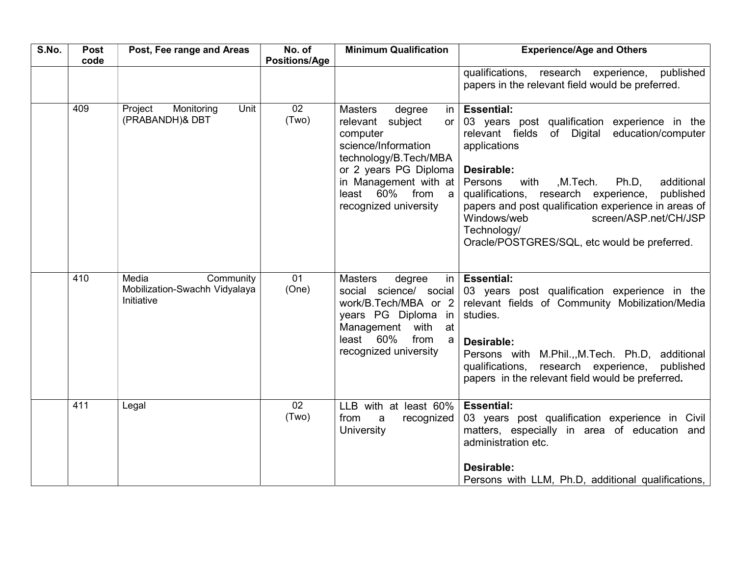| S.No. | Post<br>code | Post, Fee range and Areas                                         | No. of<br><b>Positions/Age</b> | <b>Minimum Qualification</b>                                                                                                                                                                                                             | <b>Experience/Age and Others</b>                                                                                                                                                                                                                                                                                                                                                                                                  |
|-------|--------------|-------------------------------------------------------------------|--------------------------------|------------------------------------------------------------------------------------------------------------------------------------------------------------------------------------------------------------------------------------------|-----------------------------------------------------------------------------------------------------------------------------------------------------------------------------------------------------------------------------------------------------------------------------------------------------------------------------------------------------------------------------------------------------------------------------------|
|       |              |                                                                   |                                |                                                                                                                                                                                                                                          | qualifications, research experience,<br>published<br>papers in the relevant field would be preferred.                                                                                                                                                                                                                                                                                                                             |
|       | 409          | Project<br>Monitoring<br>Unit<br>(PRABANDH)& DBT                  | 02<br>(Two)                    | <b>Masters</b><br>degree<br>in I<br>subject<br>relevant<br>or <sub>l</sub><br>computer<br>science/Information<br>technology/B.Tech/MBA<br>or 2 years PG Diploma<br>in Management with at<br>least $60\%$ from a<br>recognized university | <b>Essential:</b><br>03 years post qualification experience in the<br>relevant fields<br>of Digital<br>education/computer<br>applications<br>Desirable:<br>Persons<br>with<br>,M.Tech.<br>Ph.D,<br>additional<br>qualifications, research experience,<br>published<br>papers and post qualification experience in areas of<br>screen/ASP.net/CH/JSP<br>Windows/web<br>Technology/<br>Oracle/POSTGRES/SQL, etc would be preferred. |
|       | 410          | Media<br>Community<br>Mobilization-Swachh Vidyalaya<br>Initiative | 01<br>(One)                    | <b>Masters</b><br>degree<br>$\mathsf{in}$<br>social science/ social<br>work/B.Tech/MBA or 2<br>years PG Diploma in<br>Management with at<br>least 60%<br>from<br>a<br>recognized university                                              | <b>Essential:</b><br>03 years post qualification experience in the<br>relevant fields of Community Mobilization/Media<br>studies.<br>Desirable:<br>Persons with M.Phil.,, M.Tech. Ph.D, additional<br>qualifications, research experience, published<br>papers in the relevant field would be preferred.                                                                                                                          |
|       | 411          | Legal                                                             | 02<br>(Two)                    | LLB with at least 60%<br>from<br>recognized<br>a<br>University                                                                                                                                                                           | <b>Essential:</b><br>03 years post qualification experience in Civil<br>matters, especially in area of education and<br>administration etc.<br>Desirable:<br>Persons with LLM, Ph.D, additional qualifications,                                                                                                                                                                                                                   |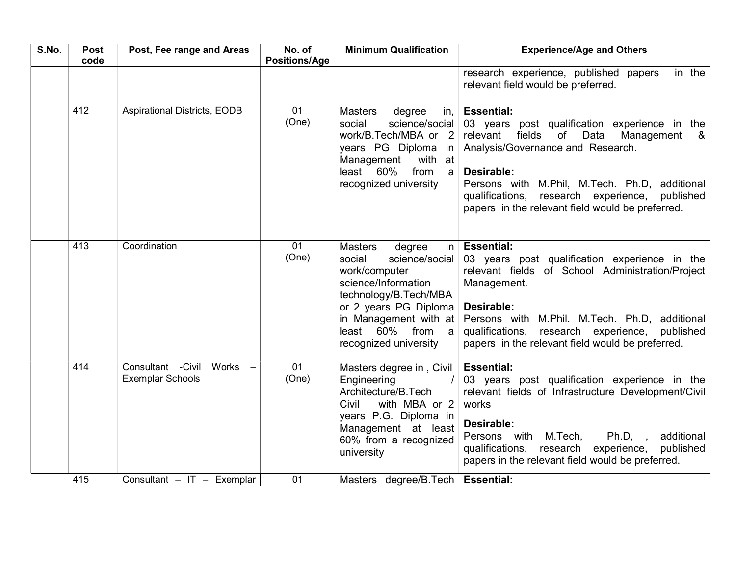| S.No. | Post<br>code | Post, Fee range and Areas                                | No. of<br><b>Positions/Age</b> | <b>Minimum Qualification</b>                                                                                                                                                                                                                           | <b>Experience/Age and Others</b>                                                                                                                                                                                                                                                                                                    |
|-------|--------------|----------------------------------------------------------|--------------------------------|--------------------------------------------------------------------------------------------------------------------------------------------------------------------------------------------------------------------------------------------------------|-------------------------------------------------------------------------------------------------------------------------------------------------------------------------------------------------------------------------------------------------------------------------------------------------------------------------------------|
|       |              |                                                          |                                |                                                                                                                                                                                                                                                        | in the<br>research experience, published papers<br>relevant field would be preferred.                                                                                                                                                                                                                                               |
|       | 412          | <b>Aspirational Districts, EODB</b>                      | 01<br>(One)                    | <b>Masters</b><br>degree<br>in, I<br>social<br>science/social<br>work/B.Tech/MBA or 2<br>years PG Diploma in<br>with at<br>Management<br>least 60%<br>from<br>a<br>recognized university                                                               | <b>Essential:</b><br>03 years post qualification experience in the<br>relevant<br>fields<br>of<br>Data<br>Management<br>&<br>Analysis/Governance and Research.<br>Desirable:<br>Persons with M.Phil, M.Tech. Ph.D, additional<br>qualifications, research experience, published<br>papers in the relevant field would be preferred. |
|       | 413          | Coordination                                             | 01<br>(One)                    | <b>Masters</b><br>degree<br>$\mathsf{in}$<br>science/social<br>social<br>work/computer<br>science/Information<br>technology/B.Tech/MBA<br>or 2 years PG Diploma<br>in Management with at<br>least 60%<br>from<br>$\mathsf{a}$<br>recognized university | <b>Essential:</b><br>03 years post qualification experience in the<br>relevant fields of School Administration/Project<br>Management.<br>Desirable:<br>Persons with M.Phil. M.Tech. Ph.D, additional<br>qualifications, research experience, published<br>papers in the relevant field would be preferred.                          |
|       | 414          | Consultant - Civil<br>Works -<br><b>Exemplar Schools</b> | 01<br>(One)                    | Masters degree in, Civil<br>Engineering<br>Architecture/B.Tech<br>with MBA or 2<br>Civil<br>years P.G. Diploma in<br>Management at least<br>60% from a recognized<br>university                                                                        | <b>Essential:</b><br>03 years post qualification experience in the<br>relevant fields of Infrastructure Development/Civil<br>works<br>Desirable:<br>Persons with M.Tech,<br>Ph.D, ,<br>additional<br>qualifications, research<br>experience,<br>published<br>papers in the relevant field would be preferred.                       |
|       | 415          | Consultant - IT - Exemplar                               | 01                             | Masters degree/B. Tech   Essential:                                                                                                                                                                                                                    |                                                                                                                                                                                                                                                                                                                                     |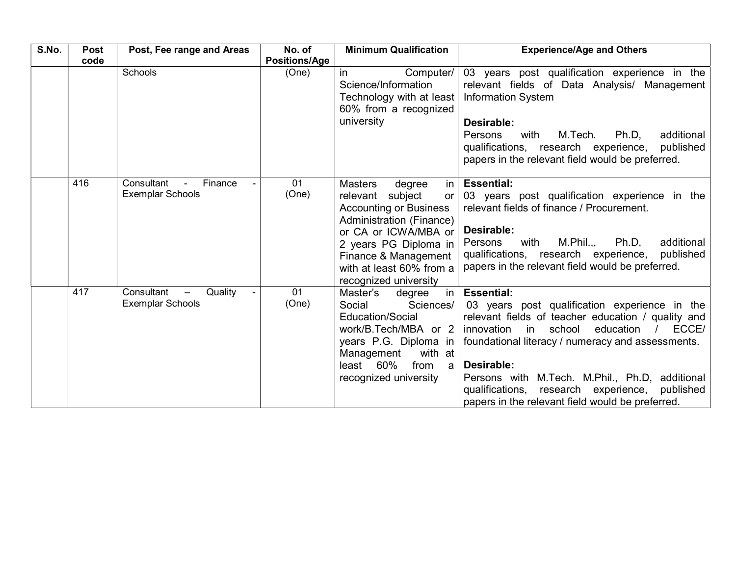| S.No. | <b>Post</b> | Post, Fee range and Areas                                                                      | No. of               | <b>Minimum Qualification</b>                                                                                                                                                                                                                      | <b>Experience/Age and Others</b>                                                                                                                                                                                                                                                                                                                                                                                |
|-------|-------------|------------------------------------------------------------------------------------------------|----------------------|---------------------------------------------------------------------------------------------------------------------------------------------------------------------------------------------------------------------------------------------------|-----------------------------------------------------------------------------------------------------------------------------------------------------------------------------------------------------------------------------------------------------------------------------------------------------------------------------------------------------------------------------------------------------------------|
|       | code        |                                                                                                | <b>Positions/Age</b> |                                                                                                                                                                                                                                                   |                                                                                                                                                                                                                                                                                                                                                                                                                 |
|       |             | Schools                                                                                        | (One)                | Computer/<br>in.<br>Science/Information<br>Technology with at least<br>60% from a recognized<br>university                                                                                                                                        | 03 years post qualification experience in the<br>relevant fields of Data Analysis/ Management<br>Information System<br>Desirable:<br>M.Tech.<br>Ph.D.<br>additional<br>Persons<br>with<br>qualifications, research experience,<br>published<br>papers in the relevant field would be preferred.                                                                                                                 |
|       | 416         | Consultant<br>Finance<br>$\overline{\phantom{0}}$<br><b>Exemplar Schools</b>                   | 01<br>(One)          | <b>Masters</b><br>degree<br>relevant subject<br>or 1<br><b>Accounting or Business</b><br>Administration (Finance)<br>or CA or ICWA/MBA or  <br>2 years PG Diploma in<br>Finance & Management<br>with at least 60% from a<br>recognized university | in $ $ Essential:<br>03 years post qualification experience in the<br>relevant fields of finance / Procurement.<br>Desirable:<br>M.Phil.,<br>Ph.D.<br>additional<br>with<br>Persons<br>qualifications, research experience,<br>published<br>papers in the relevant field would be preferred.                                                                                                                    |
|       | 417         | Consultant<br>Quality<br>$\overline{\phantom{m}}$<br>$\blacksquare$<br><b>Exemplar Schools</b> | 01<br>(One)          | Master's<br>degree<br>Sciences/<br>Social<br>Education/Social<br>work/B.Tech/MBA or 2   innovation in<br>with at<br>Management<br>60%<br>from<br>least<br>a l<br>recognized university                                                            | in   Essential:<br>03 years post qualification experience in the<br>relevant fields of teacher education / quality and<br>ECCE/<br>school<br>education<br>years P.G. Diploma in   foundational literacy / numeracy and assessments.<br>Desirable:<br>Persons with M.Tech. M.Phil., Ph.D. additional<br>qualifications,<br>research experience,<br>published<br>papers in the relevant field would be preferred. |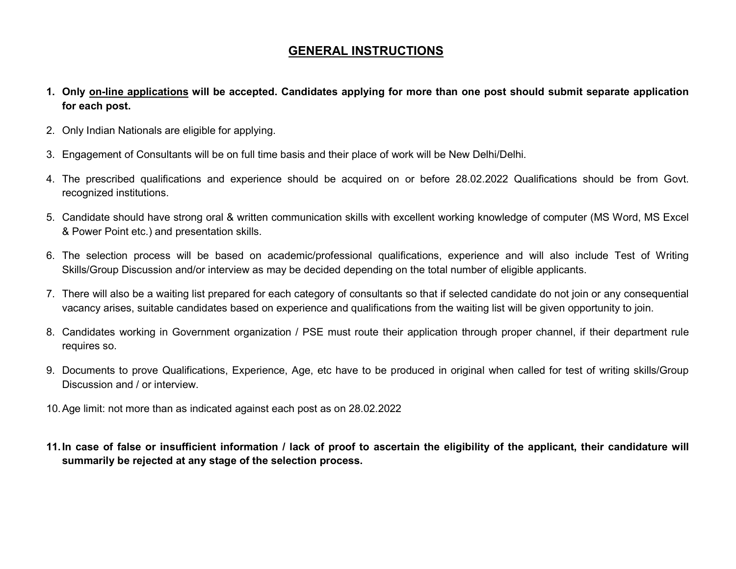# GENERAL INSTRUCTIONS

- 1. Only on-line applications will be accepted. Candidates applying for more than one post should submit separate application for each post.
- 2. Only Indian Nationals are eligible for applying.
- 3. Engagement of Consultants will be on full time basis and their place of work will be New Delhi/Delhi.
- 4. The prescribed qualifications and experience should be acquired on or before 28.02.2022 Qualifications should be from Govt. recognized institutions.
- 5. Candidate should have strong oral & written communication skills with excellent working knowledge of computer (MS Word, MS Excel & Power Point etc.) and presentation skills.
- 6. The selection process will be based on academic/professional qualifications, experience and will also include Test of Writing Skills/Group Discussion and/or interview as may be decided depending on the total number of eligible applicants.
- 7. There will also be a waiting list prepared for each category of consultants so that if selected candidate do not join or any consequential vacancy arises, suitable candidates based on experience and qualifications from the waiting list will be given opportunity to join.
- 8. Candidates working in Government organization / PSE must route their application through proper channel, if their department rule requires so.
- 9. Documents to prove Qualifications, Experience, Age, etc have to be produced in original when called for test of writing skills/Group Discussion and / or interview.
- 10. Age limit: not more than as indicated against each post as on 28.02.2022
- 11. In case of false or insufficient information / lack of proof to ascertain the eligibility of the applicant, their candidature will summarily be rejected at any stage of the selection process.